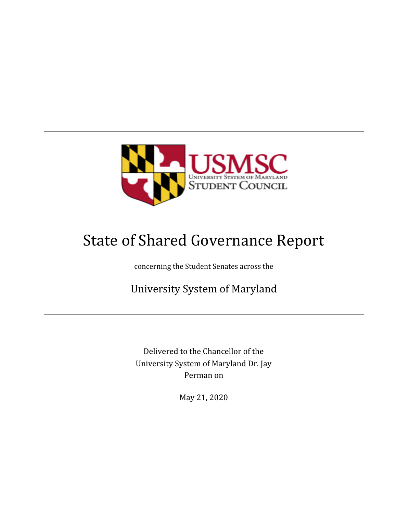

# State of Shared Governance Report

concerning the Student Senates across the

University System of Maryland

Delivered to the Chancellor of the University System of Maryland Dr. Jay Perman on

May 21, 2020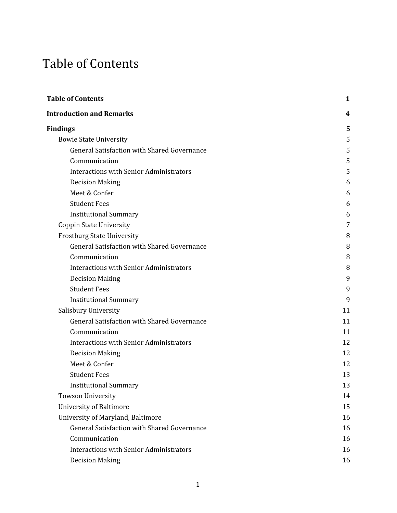# <span id="page-1-0"></span>Table of Contents

| <b>Table of Contents</b>                           | $\mathbf{1}$ |
|----------------------------------------------------|--------------|
| <b>Introduction and Remarks</b>                    | 4            |
| <b>Findings</b>                                    | 5            |
| <b>Bowie State University</b>                      | 5            |
| <b>General Satisfaction with Shared Governance</b> | 5            |
| Communication                                      | 5            |
| <b>Interactions with Senior Administrators</b>     | 5            |
| <b>Decision Making</b>                             | 6            |
| Meet & Confer                                      | 6            |
| <b>Student Fees</b>                                | 6            |
| <b>Institutional Summary</b>                       | 6            |
| <b>Coppin State University</b>                     | 7            |
| <b>Frostburg State University</b>                  | 8            |
| <b>General Satisfaction with Shared Governance</b> | 8            |
| Communication                                      | 8            |
| <b>Interactions with Senior Administrators</b>     | 8            |
| <b>Decision Making</b>                             | 9            |
| <b>Student Fees</b>                                | 9            |
| <b>Institutional Summary</b>                       | 9            |
| Salisbury University                               | 11           |
| <b>General Satisfaction with Shared Governance</b> | 11           |
| Communication                                      | 11           |
| <b>Interactions with Senior Administrators</b>     | 12           |
| <b>Decision Making</b>                             | 12           |
| Meet & Confer                                      | 12           |
| <b>Student Fees</b>                                | 13           |
| <b>Institutional Summary</b>                       | 13           |
| <b>Towson University</b>                           | 14           |
| <b>University of Baltimore</b>                     | 15           |
| University of Maryland, Baltimore                  | 16           |
| General Satisfaction with Shared Governance        | 16           |
| Communication                                      | 16           |
| <b>Interactions with Senior Administrators</b>     | 16           |
| <b>Decision Making</b>                             | 16           |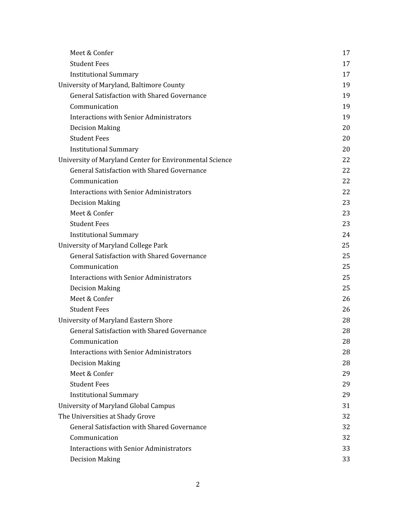| Meet & Confer                                           | 17 |
|---------------------------------------------------------|----|
| <b>Student Fees</b>                                     | 17 |
| <b>Institutional Summary</b>                            | 17 |
| University of Maryland, Baltimore County                | 19 |
| General Satisfaction with Shared Governance             | 19 |
| Communication                                           | 19 |
| <b>Interactions with Senior Administrators</b>          | 19 |
| <b>Decision Making</b>                                  | 20 |
| <b>Student Fees</b>                                     | 20 |
| <b>Institutional Summary</b>                            | 20 |
| University of Maryland Center for Environmental Science | 22 |
| <b>General Satisfaction with Shared Governance</b>      | 22 |
| Communication                                           | 22 |
| <b>Interactions with Senior Administrators</b>          | 22 |
| <b>Decision Making</b>                                  | 23 |
| Meet & Confer                                           | 23 |
| <b>Student Fees</b>                                     | 23 |
| <b>Institutional Summary</b>                            | 24 |
| University of Maryland College Park                     | 25 |
| General Satisfaction with Shared Governance             | 25 |
| Communication                                           | 25 |
| <b>Interactions with Senior Administrators</b>          | 25 |
| <b>Decision Making</b>                                  | 25 |
| Meet & Confer                                           | 26 |
| <b>Student Fees</b>                                     | 26 |
| University of Maryland Eastern Shore                    | 28 |
| <b>General Satisfaction with Shared Governance</b>      | 28 |
| Communication                                           | 28 |
| <b>Interactions with Senior Administrators</b>          | 28 |
| <b>Decision Making</b>                                  | 28 |
| Meet & Confer                                           | 29 |
| <b>Student Fees</b>                                     | 29 |
| <b>Institutional Summary</b>                            | 29 |
| University of Maryland Global Campus                    | 31 |
| The Universities at Shady Grove                         | 32 |
| General Satisfaction with Shared Governance             | 32 |
| Communication                                           | 32 |
| <b>Interactions with Senior Administrators</b>          | 33 |
| <b>Decision Making</b>                                  | 33 |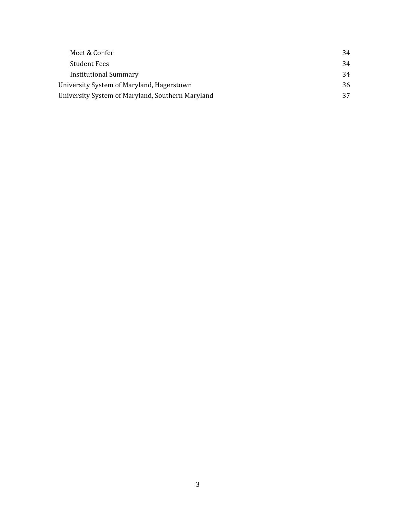| Meet & Confer                                    | 34 |
|--------------------------------------------------|----|
| <b>Student Fees</b>                              | 34 |
| <b>Institutional Summary</b>                     | 34 |
| University System of Maryland, Hagerstown        | 36 |
| University System of Maryland, Southern Maryland | 37 |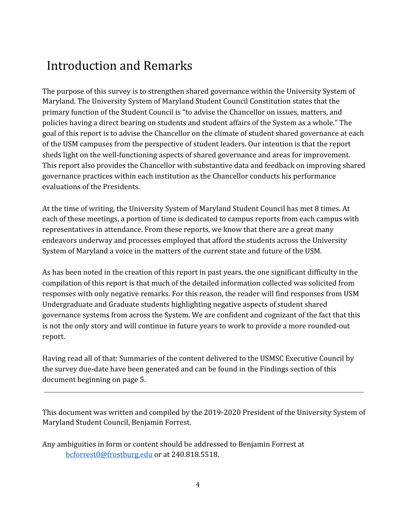## <span id="page-4-0"></span>Introduction and Remarks

The purpose of this survey is to strengthen shared governance within the University System of Maryland. The University System of Maryland Student Council Constitution states that the primary function of the Student Council is "to advise the Chancellor on issues, matters, and policies having a direct bearing on students and student affairs of the System as a whole." The goal of this report is to advise the Chancellor on the climate of student shared governance at each of the USM campuses from the perspective of student leaders. Our intention is that the report sheds light on the well-functioning aspects of shared governance and areas for improvement. This report also provides the Chancellor with substantive data and feedback on improving shared governance practices within each institution as the Chancellor conducts his performance evaluations of the Presidents.

At the time of writing, the University System of Maryland Student Council has met 8 times. At each of these meetings, a portion of time is dedicated to campus reports from each campus with representatives in attendance. From these reports, we know that there are a great many endeavors underway and processes employed that afford the students across the University System of Maryland a voice in the matters of the current state and future of the USM.

As has been noted in the creation of this report in past years, the one significant difficulty in the compilation of this report is that much of the detailed information collected was solicited from responses with only negative remarks. For this reason, the reader will find responses from USM Undergraduate and Graduate students highlighting negative aspects of student shared governance systems from across the System. We are confident and cognizant of the fact that this is not the only story and will continue in future years to work to provide a more rounded-out report.

Having read all of that: Summaries of the content delivered to the USMSC Executive Council by the survey due-date have been generated and can be found in the Findings section of this document beginning on page 5.

This document was written and compiled by the 2019-2020 President of the University System of Maryland Student Council, Benjamin Forrest.

Any ambiguities in form or content should be addressed to Benjamin Forrest at [bcforrest0@frostburg.edu](mailto:bcforrest0@frostburg.edu) or at 240.818.5518.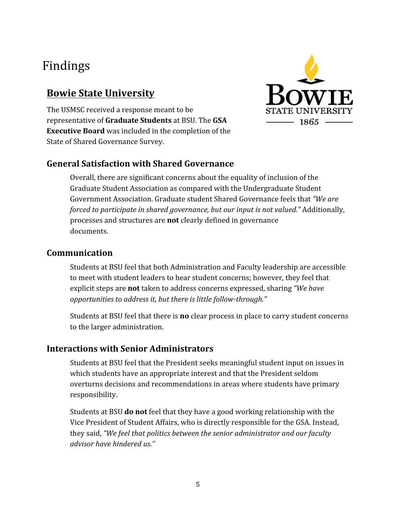## <span id="page-5-0"></span>Findings

### <span id="page-5-1"></span>**Bowie State University**

The USMSC received a response meant to be representative of **Graduate Students** at BSU. The **GSA Executive Board** was included in the completion of the State of Shared Governance Survey.



#### <span id="page-5-2"></span>**General Satisfaction with Shared Governance**

Overall, there are significant concerns about the equality of inclusion of the Graduate Student Association as compared with the Undergraduate Student Government Association. Graduate student Shared Governance feels that *"We are forced to participate in shared governance, but our input is not valued."* Additionally, processes and structures are **not** clearly defined in governance documents.

#### <span id="page-5-3"></span>**Communication**

Students at BSU feel that both Administration and Faculty leadership are accessible to meet with student leaders to hear student concerns; however, they feel that explicit steps are **not** taken to address concerns expressed, sharing *"We have opportunities to address it, but there is little follow-through."*

Students at BSU feel that there is **no** clear process in place to carry student concerns to the larger administration.

#### <span id="page-5-4"></span>**Interactions with Senior Administrators**

Students at BSU feel that the President seeks meaningful student input on issues in which students have an appropriate interest and that the President seldom overturns decisions and recommendations in areas where students have primary responsibility.

Students at BSU **do not** feel that they have a good working relationship with the Vice President of Student Affairs, who is directly responsible for the GSA. Instead, they said, *"We feel that politics between the senior administrator and our faculty advisor have hindered us."*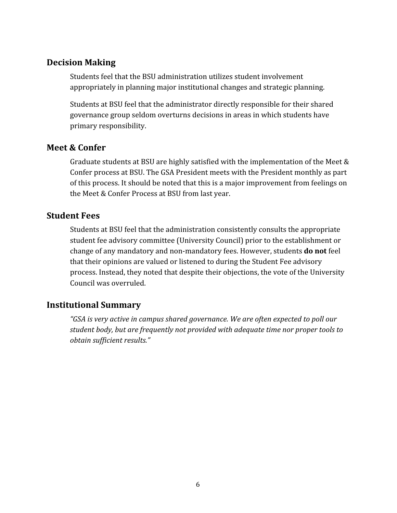#### <span id="page-6-0"></span>**Decision Making**

Students feel that the BSU administration utilizes student involvement appropriately in planning major institutional changes and strategic planning.

Students at BSU feel that the administrator directly responsible for their shared governance group seldom overturns decisions in areas in which students have primary responsibility.

#### <span id="page-6-1"></span>**Meet & Confer**

Graduate students at BSU are highly satisfied with the implementation of the Meet & Confer process at BSU. The GSA President meets with the President monthly as part of this process. It should be noted that this is a major improvement from feelings on the Meet & Confer Process at BSU from last year.

#### <span id="page-6-2"></span>**Student Fees**

Students at BSU feel that the administration consistently consults the appropriate student fee advisory committee (University Council) prior to the establishment or change of any mandatory and non-mandatory fees. However, students **do not** feel that their opinions are valued or listened to during the Student Fee advisory process. Instead, they noted that despite their objections, the vote of the University Council was overruled.

#### <span id="page-6-3"></span>**Institutional Summary**

*"GSA is very active in campus shared governance. We are often expected to poll our student body, but are frequently not provided with adequate time nor proper tools to obtain sufficient results."*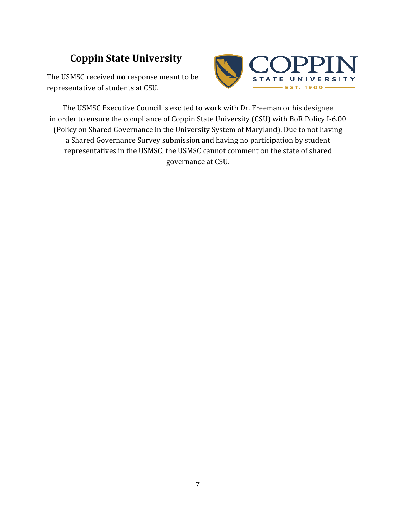## <span id="page-7-0"></span>**Coppin State University**

The USMSC received **no** response meant to be representative of students at CSU.



The USMSC Executive Council is excited to work with Dr. Freeman or his designee in order to ensure the compliance of Coppin State University (CSU) with BoR Policy I-6.00 (Policy on Shared Governance in the University System of Maryland). Due to not having a Shared Governance Survey submission and having no participation by student representatives in the USMSC, the USMSC cannot comment on the state of shared governance at CSU.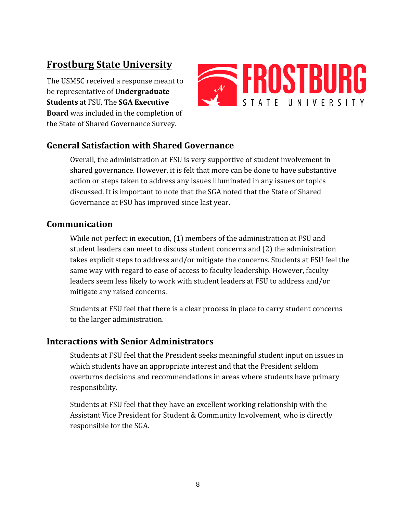## <span id="page-8-0"></span>**Frostburg State University**

The USMSC received a response meant to be representative of **Undergraduate Students** at FSU. The **SGA Executive Board** was included in the completion of the State of Shared Governance Survey.



#### <span id="page-8-1"></span>**General Satisfaction with Shared Governance**

Overall, the administration at FSU is very supportive of student involvement in shared governance. However, it is felt that more can be done to have substantive action or steps taken to address any issues illuminated in any issues or topics discussed. It is important to note that the SGA noted that the State of Shared Governance at FSU has improved since last year.

#### <span id="page-8-2"></span>**Communication**

While not perfect in execution, (1) members of the administration at FSU and student leaders can meet to discuss student concerns and (2) the administration takes explicit steps to address and/or mitigate the concerns. Students at FSU feel the same way with regard to ease of access to faculty leadership. However, faculty leaders seem less likely to work with student leaders at FSU to address and/or mitigate any raised concerns.

Students at FSU feel that there is a clear process in place to carry student concerns to the larger administration.

#### <span id="page-8-3"></span>**Interactions with Senior Administrators**

Students at FSU feel that the President seeks meaningful student input on issues in which students have an appropriate interest and that the President seldom overturns decisions and recommendations in areas where students have primary responsibility.

Students at FSU feel that they have an excellent working relationship with the Assistant Vice President for Student & Community Involvement, who is directly responsible for the SGA.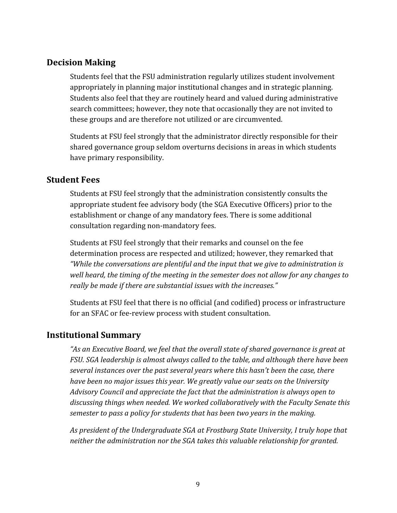#### <span id="page-9-0"></span>**Decision Making**

Students feel that the FSU administration regularly utilizes student involvement appropriately in planning major institutional changes and in strategic planning. Students also feel that they are routinely heard and valued during administrative search committees; however, they note that occasionally they are not invited to these groups and are therefore not utilized or are circumvented.

Students at FSU feel strongly that the administrator directly responsible for their shared governance group seldom overturns decisions in areas in which students have primary responsibility.

#### <span id="page-9-1"></span>**Student Fees**

Students at FSU feel strongly that the administration consistently consults the appropriate student fee advisory body (the SGA Executive Officers) prior to the establishment or change of any mandatory fees. There is some additional consultation regarding non-mandatory fees.

Students at FSU feel strongly that their remarks and counsel on the fee determination process are respected and utilized; however, they remarked that *"While the conversations are plentiful and the input that we give to administration is well heard, the timing of the meeting in the semester does not allow for any changes to really be made if there are substantial issues with the increases."*

Students at FSU feel that there is no official (and codified) process or infrastructure for an SFAC or fee-review process with student consultation.

#### <span id="page-9-2"></span>**Institutional Summary**

*"As an Executive Board, we feel that the overall state of shared governance is great at FSU. SGA leadership is almost always called to the table, and although there have been several instances over the past several years where this hasn't been the case, there have been no major issues this year. We greatly value our seats on the University Advisory Council and appreciate the fact that the administration is always open to discussing things when needed. We worked collaboratively with the Faculty Senate this semester to pass a policy for students that has been two years in the making.*

*As president of the Undergraduate SGA at Frostburg State University, I truly hope that neither the administration nor the SGA takes this valuable relationship for granted.*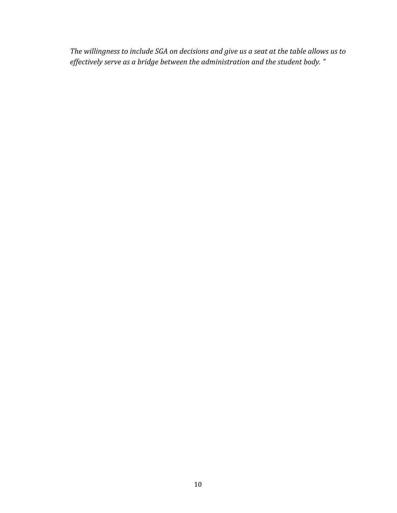*The willingness to include SGA on decisions and give us a seat at the table allows us to effectively serve as a bridge between the administration and the student body. "*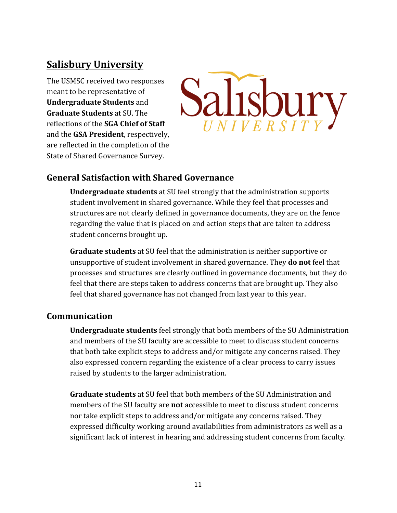## <span id="page-11-0"></span>**Salisbury University**

The USMSC received two responses meant to be representative of **Undergraduate Students** and **Graduate Students** at SU. The reflections of the **SGA Chief of Staff** and the **GSA President**, respectively, are reflected in the completion of the State of Shared Governance Survey.



#### <span id="page-11-1"></span>**General Satisfaction with Shared Governance**

**Undergraduate students** at SU feel strongly that the administration supports student involvement in shared governance. While they feel that processes and structures are not clearly defined in governance documents, they are on the fence regarding the value that is placed on and action steps that are taken to address student concerns brought up.

**Graduate students** at SU feel that the administration is neither supportive or unsupportive of student involvement in shared governance. They **do not** feel that processes and structures are clearly outlined in governance documents, but they do feel that there are steps taken to address concerns that are brought up. They also feel that shared governance has not changed from last year to this year.

#### <span id="page-11-2"></span>**Communication**

**Undergraduate students** feel strongly that both members of the SU Administration and members of the SU faculty are accessible to meet to discuss student concerns that both take explicit steps to address and/or mitigate any concerns raised. They also expressed concern regarding the existence of a clear process to carry issues raised by students to the larger administration.

**Graduate students** at SU feel that both members of the SU Administration and members of the SU faculty are **not** accessible to meet to discuss student concerns nor take explicit steps to address and/or mitigate any concerns raised. They expressed difficulty working around availabilities from administrators as well as a significant lack of interest in hearing and addressing student concerns from faculty.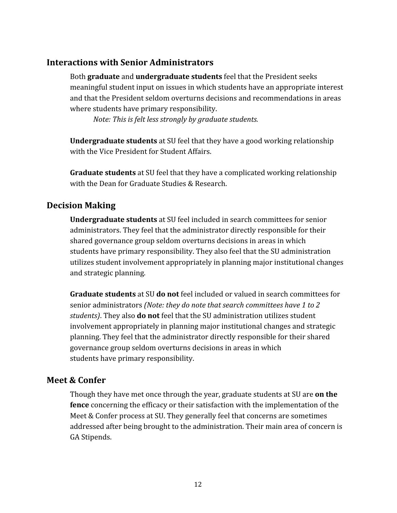#### <span id="page-12-0"></span>**Interactions with Senior Administrators**

Both **graduate** and **undergraduate students** feel that the President seeks meaningful student input on issues in which students have an appropriate interest and that the President seldom overturns decisions and recommendations in areas where students have primary responsibility.

*Note: This is felt less strongly by graduate students.*

**Undergraduate students** at SU feel that they have a good working relationship with the Vice President for Student Affairs.

**Graduate students** at SU feel that they have a complicated working relationship with the Dean for Graduate Studies & Research.

#### <span id="page-12-1"></span>**Decision Making**

**Undergraduate students** at SU feel included in search committees for senior administrators. They feel that the administrator directly responsible for their shared governance group seldom overturns decisions in areas in which students have primary responsibility. They also feel that the SU administration utilizes student involvement appropriately in planning major institutional changes and strategic planning.

**Graduate students** at SU **do not** feel included or valued in search committees for senior administrators *(Note: they do note that search committees have 1 to 2 students)*. They also **do not** feel that the SU administration utilizes student involvement appropriately in planning major institutional changes and strategic planning. They feel that the administrator directly responsible for their shared governance group seldom overturns decisions in areas in which students have primary responsibility.

#### <span id="page-12-2"></span>**Meet & Confer**

Though they have met once through the year, graduate students at SU are **on the fence** concerning the efficacy or their satisfaction with the implementation of the Meet & Confer process at SU. They generally feel that concerns are sometimes addressed after being brought to the administration. Their main area of concern is GA Stipends.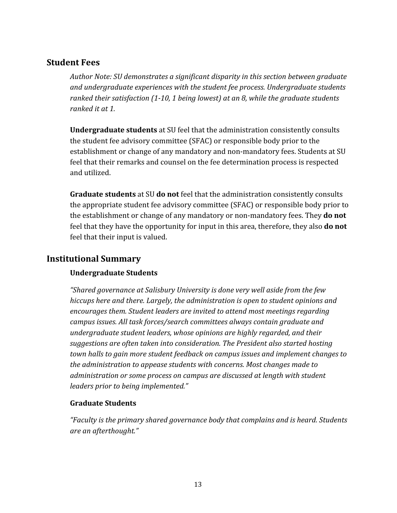#### <span id="page-13-0"></span>**Student Fees**

*Author Note: SU demonstrates a significant disparity in this section between graduate and undergraduate experiences with the student fee process. Undergraduate students ranked their satisfaction (1-10, 1 being lowest) at an 8, while the graduate students ranked it at 1.*

**Undergraduate students** at SU feel that the administration consistently consults the student fee advisory committee (SFAC) or responsible body prior to the establishment or change of any mandatory and non-mandatory fees. Students at SU feel that their remarks and counsel on the fee determination process is respected and utilized.

**Graduate students** at SU **do not** feel that the administration consistently consults the appropriate student fee advisory committee (SFAC) or responsible body prior to the establishment or change of any mandatory or non-mandatory fees. They **do not** feel that they have the opportunity for input in this area, therefore, they also **do not** feel that their input is valued.

#### <span id="page-13-1"></span>**Institutional Summary**

#### **Undergraduate Students**

*"Shared governance at Salisbury University is done very well aside from the few hiccups here and there. Largely, the administration is open to student opinions and encourages them. Student leaders are invited to attend most meetings regarding campus issues. All task forces/search committees always contain graduate and undergraduate student leaders, whose opinions are highly regarded, and their suggestions are often taken into consideration. The President also started hosting town halls to gain more student feedback on campus issues and implement changes to the administration to appease students with concerns. Most changes made to administration or some process on campus are discussed at length with student leaders prior to being implemented."*

#### **Graduate Students**

*"Faculty is the primary shared governance body that complains and is heard. Students are an afterthought."*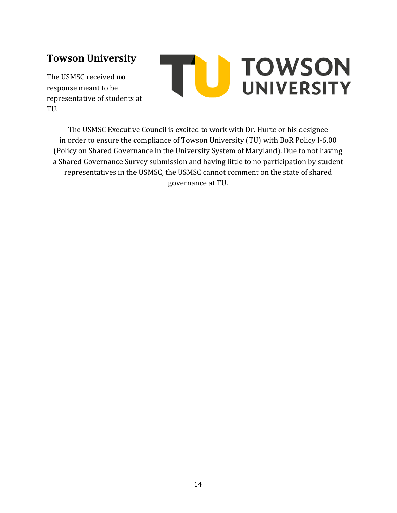## <span id="page-14-0"></span>**Towson University**

The USMSC received **no** response meant to be representative of students at TU.



The USMSC Executive Council is excited to work with Dr. Hurte or his designee in order to ensure the compliance of Towson University (TU) with BoR Policy I-6.00 (Policy on Shared Governance in the University System of Maryland). Due to not having a Shared Governance Survey submission and having little to no participation by student representatives in the USMSC, the USMSC cannot comment on the state of shared governance at TU.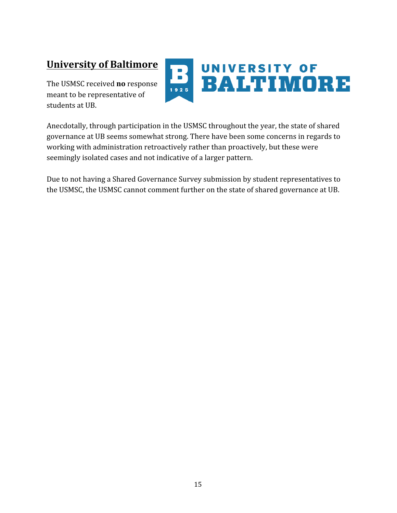## <span id="page-15-0"></span>**University of Baltimore**

The USMSC received **no** response meant to be representative of students at UB.



Anecdotally, through participation in the USMSC throughout the year, the state of shared governance at UB seems somewhat strong. There have been some concerns in regards to working with administration retroactively rather than proactively, but these were seemingly isolated cases and not indicative of a larger pattern.

Due to not having a Shared Governance Survey submission by student representatives to the USMSC, the USMSC cannot comment further on the state of shared governance at UB.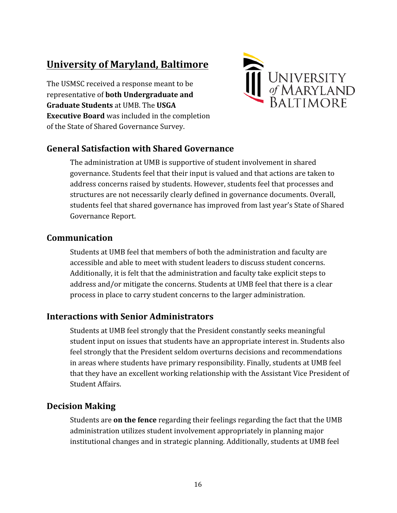## <span id="page-16-0"></span>**University of Maryland, Baltimore**

The USMSC received a response meant to be representative of **both Undergraduate and Graduate Students** at UMB. The **USGA Executive Board** was included in the completion of the State of Shared Governance Survey.



#### <span id="page-16-1"></span>**General Satisfaction with Shared Governance**

The administration at UMB is supportive of student involvement in shared governance. Students feel that their input is valued and that actions are taken to address concerns raised by students. However, students feel that processes and structures are not necessarily clearly defined in governance documents. Overall, students feel that shared governance has improved from last year's State of Shared Governance Report.

#### <span id="page-16-2"></span>**Communication**

Students at UMB feel that members of both the administration and faculty are accessible and able to meet with student leaders to discuss student concerns. Additionally, it is felt that the administration and faculty take explicit steps to address and/or mitigate the concerns. Students at UMB feel that there is a clear process in place to carry student concerns to the larger administration.

#### <span id="page-16-3"></span>**Interactions with Senior Administrators**

Students at UMB feel strongly that the President constantly seeks meaningful student input on issues that students have an appropriate interest in. Students also feel strongly that the President seldom overturns decisions and recommendations in areas where students have primary responsibility. Finally, students at UMB feel that they have an excellent working relationship with the Assistant Vice President of Student Affairs.

#### <span id="page-16-4"></span>**Decision Making**

Students are **on the fence** regarding their feelings regarding the fact that the UMB administration utilizes student involvement appropriately in planning major institutional changes and in strategic planning. Additionally, students at UMB feel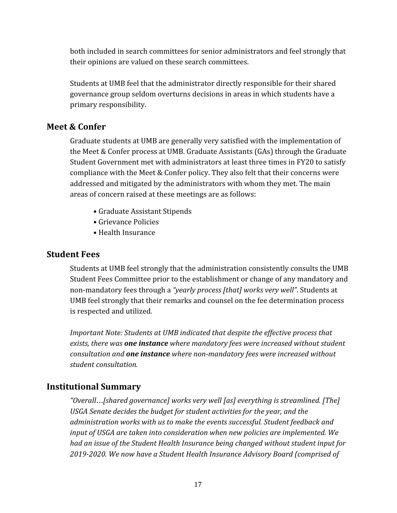both included in search committees for senior administrators and feel strongly that their opinions are valued on these search committees.

Students at UMB feel that the administrator directly responsible for their shared governance group seldom overturns decisions in areas in which students have a primary responsibility.

#### <span id="page-17-0"></span>**Meet & Confer**

Graduate students at UMB are generally very satisfied with the implementation of the Meet & Confer process at UMB. Graduate Assistants (GAs) through the Graduate Student Government met with administrators at least three times in FY20 to satisfy compliance with the Meet & Confer policy. They also felt that their concerns were addressed and mitigated by the administrators with whom they met. The main areas of concern raised at these meetings are as follows:

- Graduate Assistant Stipends
- Grievance Policies
- Health Insurance

#### <span id="page-17-1"></span>**Student Fees**

Students at UMB feel strongly that the administration consistently consults the UMB Student Fees Committee prior to the establishment or change of any mandatory and non-mandatory fees through a *"yearly process [that] works very well"*. Students at UMB feel strongly that their remarks and counsel on the fee determination process is respected and utilized.

*Important Note: Students at UMB indicated that despite the effective process that exists, there was one instance where mandatory fees were increased without student consultation and one instance where non-mandatory fees were increased without student consultation.*

#### <span id="page-17-2"></span>**Institutional Summary**

*"Overall*…*[shared governance] works very well [as] everything is streamlined. [The] USGA Senate decides the budget for student activities for the year, and the administration works with us to make the events successful. Student feedback and input of USGA are taken into consideration when new policies are implemented. We had an issue of the Student Health Insurance being changed without student input for 2019-2020. We now have a Student Health Insurance Advisory Board (comprised of*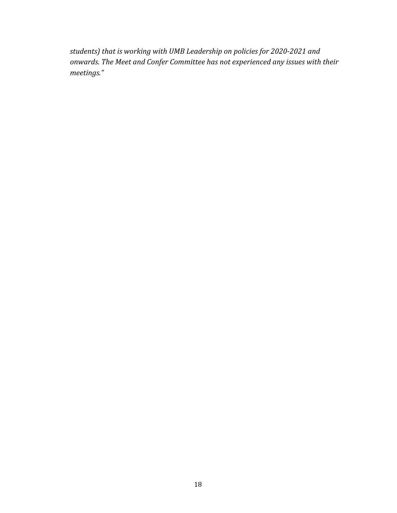*students) that is working with UMB Leadership on policies for 2020-2021 and onwards. The Meet and Confer Committee has not experienced any issues with their meetings."*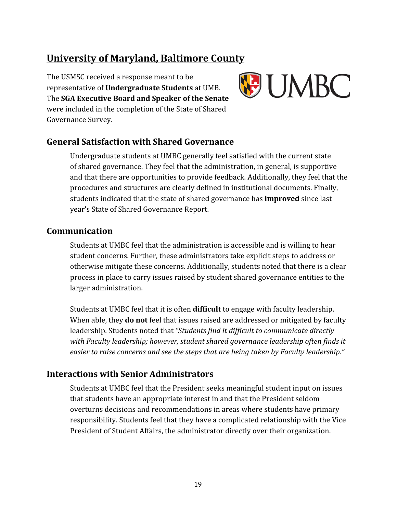## <span id="page-19-0"></span>**University of Maryland, Baltimore County**

The USMSC received a response meant to be representative of **Undergraduate Students** at UMB. The **SGA Executive Board and Speaker of the Senate** were included in the completion of the State of Shared Governance Survey.



#### <span id="page-19-1"></span>**General Satisfaction with Shared Governance**

Undergraduate students at UMBC generally feel satisfied with the current state of shared governance. They feel that the administration, in general, is supportive and that there are opportunities to provide feedback. Additionally, they feel that the procedures and structures are clearly defined in institutional documents. Finally, students indicated that the state of shared governance has **improved** since last year's State of Shared Governance Report.

#### <span id="page-19-2"></span>**Communication**

Students at UMBC feel that the administration is accessible and is willing to hear student concerns. Further, these administrators take explicit steps to address or otherwise mitigate these concerns. Additionally, students noted that there is a clear process in place to carry issues raised by student shared governance entities to the larger administration.

Students at UMBC feel that it is often **difficult** to engage with faculty leadership. When able, they **do not** feel that issues raised are addressed or mitigated by faculty leadership. Students noted that *"Students find it difficult to communicate directly with Faculty leadership; however, student shared governance leadership often finds it easier to raise concerns and see the steps that are being taken by Faculty leadership."*

#### <span id="page-19-3"></span>**Interactions with Senior Administrators**

Students at UMBC feel that the President seeks meaningful student input on issues that students have an appropriate interest in and that the President seldom overturns decisions and recommendations in areas where students have primary responsibility. Students feel that they have a complicated relationship with the Vice President of Student Affairs, the administrator directly over their organization.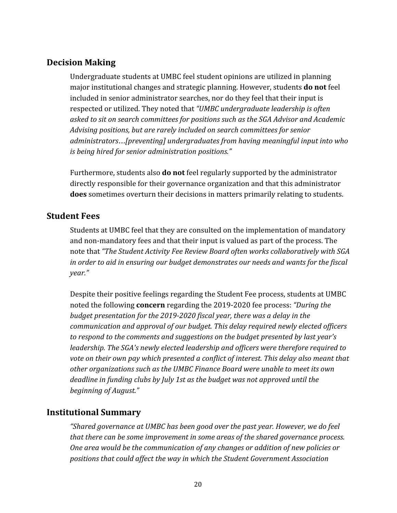#### <span id="page-20-0"></span>**Decision Making**

Undergraduate students at UMBC feel student opinions are utilized in planning major institutional changes and strategic planning. However, students **do not** feel included in senior administrator searches, nor do they feel that their input is respected or utilized. They noted that *"UMBC undergraduate leadership is often asked to sit on search committees for positions such as the SGA Advisor and Academic Advising positions, but are rarely included on search committees for senior administrators*…*[preventing] undergraduates from having meaningful input into who is being hired for senior administration positions."*

Furthermore, students also **do not** feel regularly supported by the administrator directly responsible for their governance organization and that this administrator **does** sometimes overturn their decisions in matters primarily relating to students.

#### <span id="page-20-1"></span>**Student Fees**

Students at UMBC feel that they are consulted on the implementation of mandatory and non-mandatory fees and that their input is valued as part of the process. The note that *"The Student Activity Fee Review Board often works collaboratively with SGA in order to aid in ensuring our budget demonstrates our needs and wants for the fiscal year."*

Despite their positive feelings regarding the Student Fee process, students at UMBC noted the following **concern** regarding the 2019-2020 fee process: *"During the budget presentation for the 2019-2020 fiscal year, there was a delay in the communication and approval of our budget. This delay required newly elected officers to respond to the comments and suggestions on the budget presented by last year's leadership. The SGA's newly elected leadership and officers were therefore required to vote on their own pay which presented a conflict of interest. This delay also meant that other organizations such as the UMBC Finance Board were unable to meet its own deadline in funding clubs by July 1st as the budget was not approved until the beginning of August."*

#### <span id="page-20-2"></span>**Institutional Summary**

*"Shared governance at UMBC has been good over the past year. However, we do feel that there can be some improvement in some areas of the shared governance process. One area would be the communication of any changes or addition of new policies or positions that could affect the way in which the Student Government Association*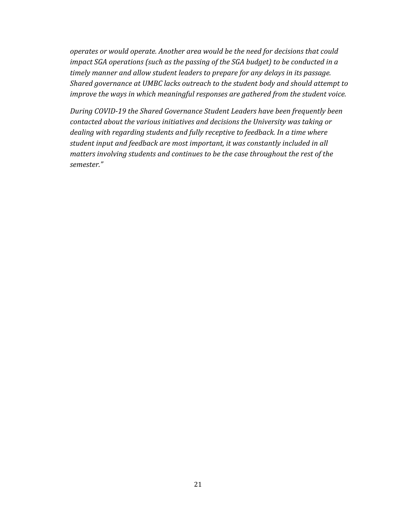*operates or would operate. Another area would be the need for decisions that could impact SGA operations (such as the passing of the SGA budget) to be conducted in a timely manner and allow student leaders to prepare for any delays in its passage. Shared governance at UMBC lacks outreach to the student body and should attempt to improve the ways in which meaningful responses are gathered from the student voice.*

*During COVID-19 the Shared Governance Student Leaders have been frequently been contacted about the various initiatives and decisions the University was taking or dealing with regarding students and fully receptive to feedback. In a time where student input and feedback are most important, it was constantly included in all matters involving students and continues to be the case throughout the rest of the semester."*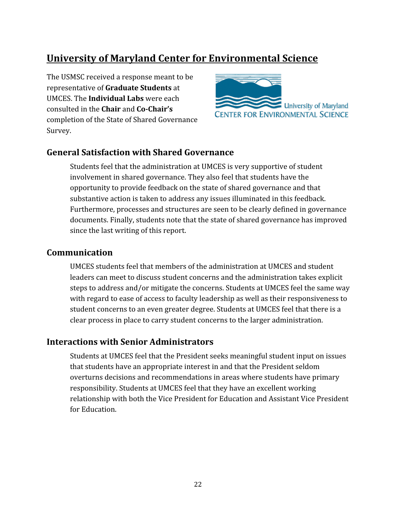## <span id="page-22-0"></span>**University of Maryland Center for Environmental Science**

The USMSC received a response meant to be representative of **Graduate Students** at UMCES. The **Individual Labs** were each consulted in the **Chair** and **Co-Chair's** completion of the State of Shared Governance Survey.



#### <span id="page-22-1"></span>**General Satisfaction with Shared Governance**

Students feel that the administration at UMCES is very supportive of student involvement in shared governance. They also feel that students have the opportunity to provide feedback on the state of shared governance and that substantive action is taken to address any issues illuminated in this feedback. Furthermore, processes and structures are seen to be clearly defined in governance documents. Finally, students note that the state of shared governance has improved since the last writing of this report.

#### <span id="page-22-2"></span>**Communication**

UMCES students feel that members of the administration at UMCES and student leaders can meet to discuss student concerns and the administration takes explicit steps to address and/or mitigate the concerns. Students at UMCES feel the same way with regard to ease of access to faculty leadership as well as their responsiveness to student concerns to an even greater degree. Students at UMCES feel that there is a clear process in place to carry student concerns to the larger administration.

#### <span id="page-22-3"></span>**Interactions with Senior Administrators**

Students at UMCES feel that the President seeks meaningful student input on issues that students have an appropriate interest in and that the President seldom overturns decisions and recommendations in areas where students have primary responsibility. Students at UMCES feel that they have an excellent working relationship with both the Vice President for Education and Assistant Vice President for Education.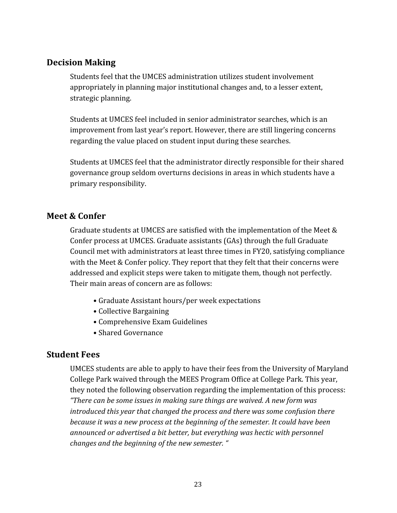#### <span id="page-23-0"></span>**Decision Making**

Students feel that the UMCES administration utilizes student involvement appropriately in planning major institutional changes and, to a lesser extent, strategic planning.

Students at UMCES feel included in senior administrator searches, which is an improvement from last year's report. However, there are still lingering concerns regarding the value placed on student input during these searches.

Students at UMCES feel that the administrator directly responsible for their shared governance group seldom overturns decisions in areas in which students have a primary responsibility.

#### <span id="page-23-1"></span>**Meet & Confer**

Graduate students at UMCES are satisfied with the implementation of the Meet & Confer process at UMCES. Graduate assistants (GAs) through the full Graduate Council met with administrators at least three times in FY20, satisfying compliance with the Meet & Confer policy. They report that they felt that their concerns were addressed and explicit steps were taken to mitigate them, though not perfectly. Their main areas of concern are as follows:

- Graduate Assistant hours/per week expectations
- Collective Bargaining
- Comprehensive Exam Guidelines
- Shared Governance

#### <span id="page-23-2"></span>**Student Fees**

UMCES students are able to apply to have their fees from the University of Maryland College Park waived through the MEES Program Office at College Park. This year, they noted the following observation regarding the implementation of this process: *"There can be some issues in making sure things are waived. A new form was introduced this year that changed the process and there was some confusion there because it was a new process at the beginning of the semester. It could have been announced or advertised a bit better, but everything was hectic with personnel changes and the beginning of the new semester. "*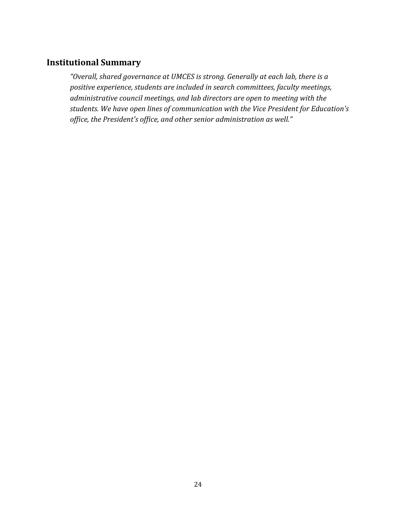#### <span id="page-24-0"></span>**Institutional Summary**

*"Overall, shared governance at UMCES is strong. Generally at each lab, there is a positive experience, students are included in search committees, faculty meetings, administrative council meetings, and lab directors are open to meeting with the students. We have open lines of communication with the Vice President for Education's office, the President's office, and other senior administration as well."*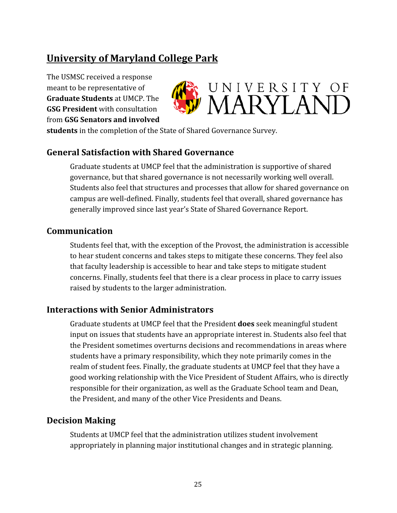## <span id="page-25-0"></span>**University of Maryland College Park**

The USMSC received a response meant to be representative of **Graduate Students** at UMCP. The **GSG President** with consultation from **GSG Senators and involved**



<span id="page-25-1"></span>**students** in the completion of the State of Shared Governance Survey.

#### **General Satisfaction with Shared Governance**

Graduate students at UMCP feel that the administration is supportive of shared governance, but that shared governance is not necessarily working well overall. Students also feel that structures and processes that allow for shared governance on campus are well-defined. Finally, students feel that overall, shared governance has generally improved since last year's State of Shared Governance Report.

#### <span id="page-25-2"></span>**Communication**

Students feel that, with the exception of the Provost, the administration is accessible to hear student concerns and takes steps to mitigate these concerns. They feel also that faculty leadership is accessible to hear and take steps to mitigate student concerns. Finally, students feel that there is a clear process in place to carry issues raised by students to the larger administration.

#### <span id="page-25-3"></span>**Interactions with Senior Administrators**

Graduate students at UMCP feel that the President **does** seek meaningful student input on issues that students have an appropriate interest in. Students also feel that the President sometimes overturns decisions and recommendations in areas where students have a primary responsibility, which they note primarily comes in the realm of student fees. Finally, the graduate students at UMCP feel that they have a good working relationship with the Vice President of Student Affairs, who is directly responsible for their organization, as well as the Graduate School team and Dean, the President, and many of the other Vice Presidents and Deans.

#### <span id="page-25-4"></span>**Decision Making**

Students at UMCP feel that the administration utilizes student involvement appropriately in planning major institutional changes and in strategic planning.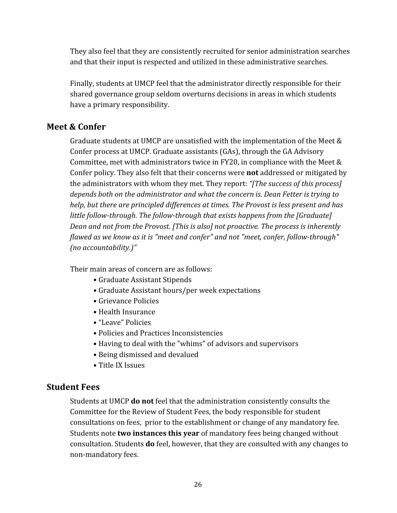They also feel that they are consistently recruited for senior administration searches and that their input is respected and utilized in these administrative searches.

Finally, students at UMCP feel that the administrator directly responsible for their shared governance group seldom overturns decisions in areas in which students have a primary responsibility.

#### <span id="page-26-0"></span>**Meet & Confer**

Graduate students at UMCP are unsatisfied with the implementation of the Meet & Confer process at UMCP. Graduate assistants (GAs), through the GA Advisory Committee, met with administrators twice in FY20, in compliance with the Meet & Confer policy. They also felt that their concerns were **not** addressed or mitigated by the administrators with whom they met. They report: *"[The success of this process] depends both on the administrator and what the concern is. Dean Fetter is trying to help, but there are principled differences at times. The Provost is less present and has little follow-through. The follow-through that exists happens from the [Graduate] Dean and not from the Provost. [This is also] not proactive. The process is inherently flawed as we know as it is "meet and confer" and not "meet, confer, follow-through" (no accountability.)"*

Their main areas of concern are as follows:

- Graduate Assistant Stipends
- Graduate Assistant hours/per week expectations
- Grievance Policies
- Health Insurance
- "Leave" Policies
- Policies and Practices Inconsistencies
- Having to deal with the "whims" of advisors and supervisors
- Being dismissed and devalued
- Title IX Issues

#### <span id="page-26-1"></span>**Student Fees**

Students at UMCP **do not** feel that the administration consistently consults the Committee for the Review of Student Fees, the body responsible for student consultations on fees, prior to the establishment or change of any mandatory fee. Students note **two instances this year** of mandatory fees being changed without consultation. Students **do** feel, however, that they are consulted with any changes to non-mandatory fees.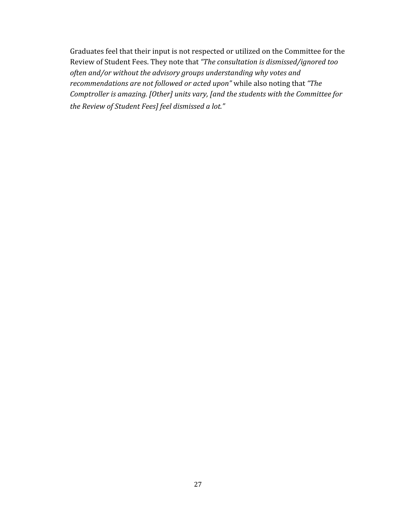Graduates feel that their input is not respected or utilized on the Committee for the Review of Student Fees. They note that *"The consultation is dismissed/ignored too often and/or without the advisory groups understanding why votes and recommendations are not followed or acted upon"* while also noting that *"The Comptroller is amazing. [Other] units vary, [and the students with the Committee for the Review of Student Fees] feel dismissed a lot."*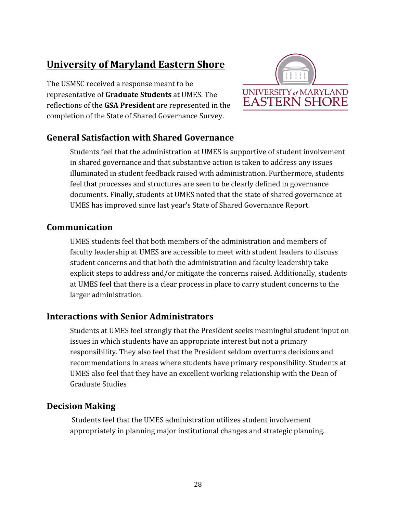## <span id="page-28-0"></span>**University of Maryland Eastern Shore**

The USMSC received a response meant to be representative of **Graduate Students** at UMES. The reflections of the **GSA President** are represented in the completion of the State of Shared Governance Survey.



#### <span id="page-28-1"></span>**General Satisfaction with Shared Governance**

Students feel that the administration at UMES is supportive of student involvement in shared governance and that substantive action is taken to address any issues illuminated in student feedback raised with administration. Furthermore, students feel that processes and structures are seen to be clearly defined in governance documents. Finally, students at UMES noted that the state of shared governance at UMES has improved since last year's State of Shared Governance Report.

#### <span id="page-28-2"></span>**Communication**

UMES students feel that both members of the administration and members of faculty leadership at UMES are accessible to meet with student leaders to discuss student concerns and that both the administration and faculty leadership take explicit steps to address and/or mitigate the concerns raised. Additionally, students at UMES feel that there is a clear process in place to carry student concerns to the larger administration.

#### <span id="page-28-3"></span>**Interactions with Senior Administrators**

Students at UMES feel strongly that the President seeks meaningful student input on issues in which students have an appropriate interest but not a primary responsibility. They also feel that the President seldom overturns decisions and recommendations in areas where students have primary responsibility. Students at UMES also feel that they have an excellent working relationship with the Dean of Graduate Studies

#### <span id="page-28-4"></span>**Decision Making**

 Students feel that the UMES administration utilizes student involvement appropriately in planning major institutional changes and strategic planning.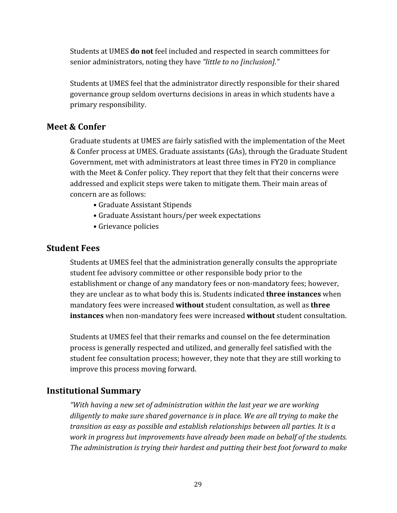Students at UMES **do not** feel included and respected in search committees for senior administrators, noting they have *"little to no [inclusion]."*

Students at UMES feel that the administrator directly responsible for their shared governance group seldom overturns decisions in areas in which students have a primary responsibility.

#### <span id="page-29-0"></span>**Meet & Confer**

Graduate students at UMES are fairly satisfied with the implementation of the Meet & Confer process at UMES. Graduate assistants (GAs), through the Graduate Student Government, met with administrators at least three times in FY20 in compliance with the Meet & Confer policy. They report that they felt that their concerns were addressed and explicit steps were taken to mitigate them. Their main areas of concern are as follows:

- Graduate Assistant Stipends
- Graduate Assistant hours/per week expectations
- Grievance policies

#### <span id="page-29-1"></span>**Student Fees**

Students at UMES feel that the administration generally consults the appropriate student fee advisory committee or other responsible body prior to the establishment or change of any mandatory fees or non-mandatory fees; however, they are unclear as to what body this is. Students indicated **three instances** when mandatory fees were increased **without** student consultation, as well as **three instances** when non-mandatory fees were increased **without** student consultation.

Students at UMES feel that their remarks and counsel on the fee determination process is generally respected and utilized, and generally feel satisfied with the student fee consultation process; however, they note that they are still working to improve this process moving forward.

#### <span id="page-29-2"></span>**Institutional Summary**

*"With having a new set of administration within the last year we are working diligently to make sure shared governance is in place. We are all trying to make the transition as easy as possible and establish relationships between all parties. It is a work in progress but improvements have already been made on behalf of the students. The administration is trying their hardest and putting their best foot forward to make*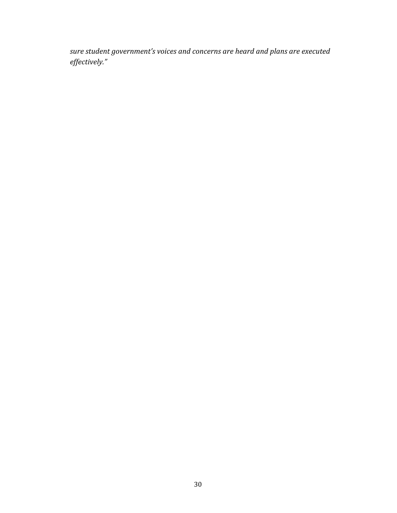*sure student government's voices and concerns are heard and plans are executed effectively."*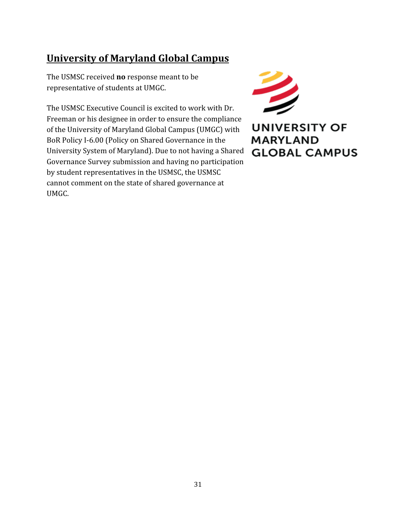## <span id="page-31-0"></span>**University of Maryland Global Campus**

The USMSC received **no** response meant to be representative of students at UMGC.

The USMSC Executive Council is excited to work with Dr. Freeman or his designee in order to ensure the compliance of the University of Maryland Global Campus (UMGC) with BoR Policy I-6.00 (Policy on Shared Governance in the University System of Maryland). Due to not having a Shared Governance Survey submission and having no participation by student representatives in the USMSC, the USMSC cannot comment on the state of shared governance at UMGC.

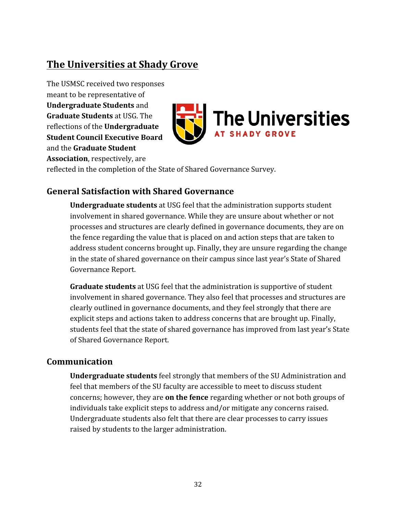## <span id="page-32-0"></span>**The Universities at Shady Grove**

The USMSC received two responses meant to be representative of **Undergraduate Students** and **Graduate Students** at USG. The reflections of the **Undergraduate Student Council Executive Board** and the **Graduate Student**



**Association**, respectively, are

<span id="page-32-1"></span>reflected in the completion of the State of Shared Governance Survey.

#### **General Satisfaction with Shared Governance**

**Undergraduate students** at USG feel that the administration supports student involvement in shared governance. While they are unsure about whether or not processes and structures are clearly defined in governance documents, they are on the fence regarding the value that is placed on and action steps that are taken to address student concerns brought up. Finally, they are unsure regarding the change in the state of shared governance on their campus since last year's State of Shared Governance Report.

**Graduate students** at USG feel that the administration is supportive of student involvement in shared governance. They also feel that processes and structures are clearly outlined in governance documents, and they feel strongly that there are explicit steps and actions taken to address concerns that are brought up. Finally, students feel that the state of shared governance has improved from last year's State of Shared Governance Report.

#### <span id="page-32-2"></span>**Communication**

**Undergraduate students** feel strongly that members of the SU Administration and feel that members of the SU faculty are accessible to meet to discuss student concerns; however, they are **on the fence** regarding whether or not both groups of individuals take explicit steps to address and/or mitigate any concerns raised. Undergraduate students also felt that there are clear processes to carry issues raised by students to the larger administration.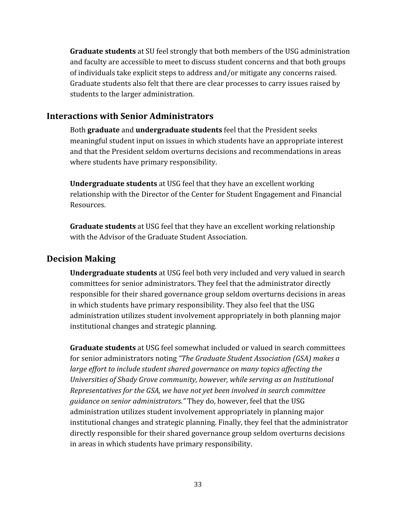**Graduate students** at SU feel strongly that both members of the USG administration and faculty are accessible to meet to discuss student concerns and that both groups of individuals take explicit steps to address and/or mitigate any concerns raised. Graduate students also felt that there are clear processes to carry issues raised by students to the larger administration.

#### <span id="page-33-0"></span>**Interactions with Senior Administrators**

Both **graduate** and **undergraduate students** feel that the President seeks meaningful student input on issues in which students have an appropriate interest and that the President seldom overturns decisions and recommendations in areas where students have primary responsibility.

**Undergraduate students** at USG feel that they have an excellent working relationship with the Director of the Center for Student Engagement and Financial Resources.

**Graduate students** at USG feel that they have an excellent working relationship with the Advisor of the Graduate Student Association.

#### <span id="page-33-1"></span>**Decision Making**

**Undergraduate students** at USG feel both very included and very valued in search committees for senior administrators. They feel that the administrator directly responsible for their shared governance group seldom overturns decisions in areas in which students have primary responsibility. They also feel that the USG administration utilizes student involvement appropriately in both planning major institutional changes and strategic planning.

**Graduate students** at USG feel somewhat included or valued in search committees for senior administrators noting *"The Graduate Student Association (GSA) makes a large effort to include student shared governance on many topics affecting the Universities of Shady Grove community, however, while serving as an Institutional Representatives for the GSA, we have not yet been involved in search committee guidance on senior administrators."* They do, however, feel that the USG administration utilizes student involvement appropriately in planning major institutional changes and strategic planning. Finally, they feel that the administrator directly responsible for their shared governance group seldom overturns decisions in areas in which students have primary responsibility.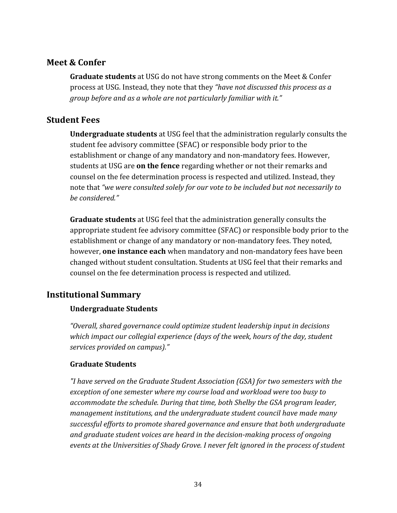#### <span id="page-34-0"></span>**Meet & Confer**

**Graduate students** at USG do not have strong comments on the Meet & Confer process at USG. Instead, they note that they *"have not discussed this process as a group before and as a whole are not particularly familiar with it."*

#### <span id="page-34-1"></span>**Student Fees**

**Undergraduate students** at USG feel that the administration regularly consults the student fee advisory committee (SFAC) or responsible body prior to the establishment or change of any mandatory and non-mandatory fees. However, students at USG are **on the fence** regarding whether or not their remarks and counsel on the fee determination process is respected and utilized. Instead, they note that *"we were consulted solely for our vote to be included but not necessarily to be considered."*

**Graduate students** at USG feel that the administration generally consults the appropriate student fee advisory committee (SFAC) or responsible body prior to the establishment or change of any mandatory or non-mandatory fees. They noted, however, **one instance each** when mandatory and non-mandatory fees have been changed without student consultation. Students at USG feel that their remarks and counsel on the fee determination process is respected and utilized.

#### <span id="page-34-2"></span>**Institutional Summary**

#### **Undergraduate Students**

*"Overall, shared governance could optimize student leadership input in decisions which impact our collegial experience (days of the week, hours of the day, student services provided on campus)."*

#### **Graduate Students**

*"I have served on the Graduate Student Association (GSA) for two semesters with the exception of one semester where my course load and workload were too busy to accommodate the schedule. During that time, both Shelby the GSA program leader, management institutions, and the undergraduate student council have made many successful efforts to promote shared governance and ensure that both undergraduate and graduate student voices are heard in the decision-making process of ongoing events at the Universities of Shady Grove. I never felt ignored in the process of student*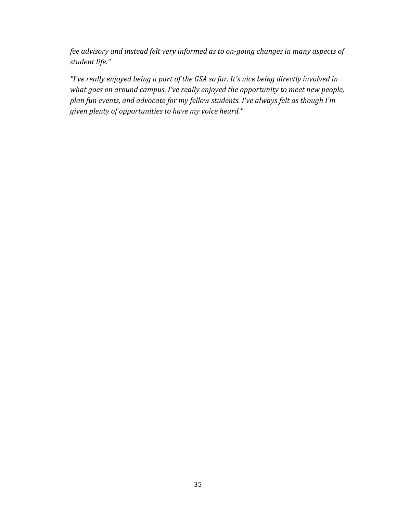*fee advisory and instead felt very informed as to on-going changes in many aspects of student life."*

*"I've really enjoyed being a part of the GSA so far. It's nice being directly involved in what goes on around campus. I've really enjoyed the opportunity to meet new people, plan fun events, and advocate for my fellow students. I've always felt as though I'm given plenty of opportunities to have my voice heard."*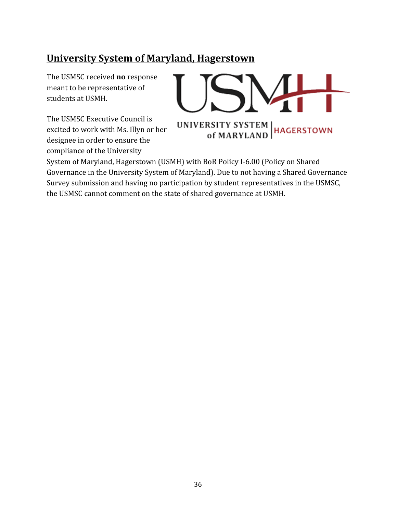## <span id="page-36-0"></span>**University System of Maryland, Hagerstown**

The USMSC received **no** response meant to be representative of students at USMH.



The USMSC Executive Council is excited to work with Ms. Illyn or her designee in order to ensure the compliance of the University

# UNIVERSITY SYSTEM<br>of MARYLAND HAGERSTOWN

System of Maryland, Hagerstown (USMH) with BoR Policy I-6.00 (Policy on Shared Governance in the University System of Maryland). Due to not having a Shared Governance Survey submission and having no participation by student representatives in the USMSC, the USMSC cannot comment on the state of shared governance at USMH.